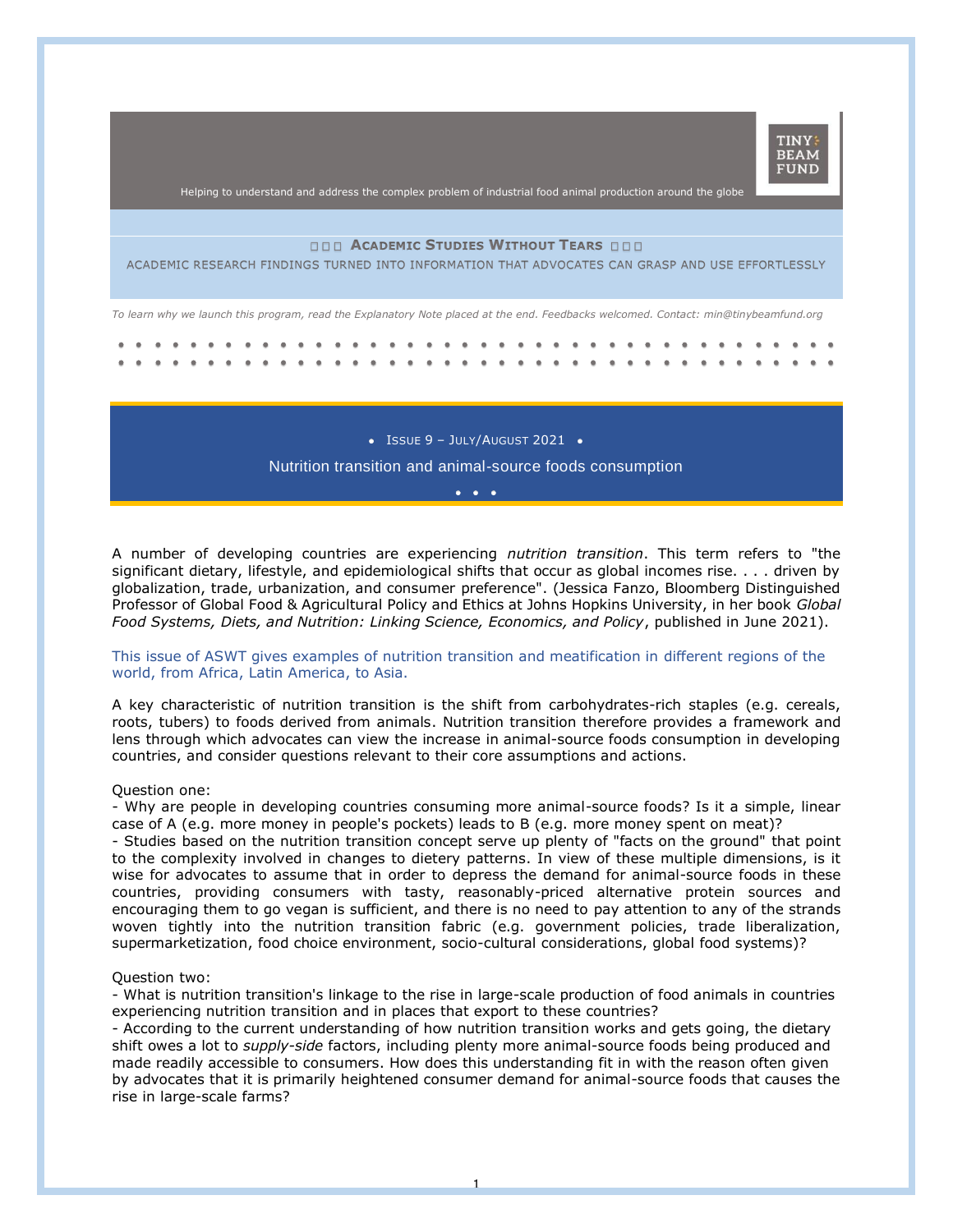

Helping to understand and address the complex problem of industrial food animal production around the globe

### **ACADEMIC STUDIES WITHOUT TEARS**

ACADEMIC RESEARCH FINDINGS TURNED INTO INFORMATION THAT ADVOCATES CAN GRASP AND USE EFFORTLESSLY

*To learn why we launch this program, read the Explanatory Note placed at the end. Feedbacks welcomed. Contact: min@tinybeamfund.org* 

 $\bullet$  Issue 9 - July/August 2021  $\bullet$ 

# Nutrition transition and animal-source foods consumption •••

A number of developing countries are experiencing *nutrition transition*. This term refers to "the significant dietary, lifestyle, and epidemiological shifts that occur as global incomes rise. . . . driven by globalization, trade, urbanization, and consumer preference". (Jessica Fanzo, Bloomberg Distinguished Professor of Global Food & Agricultural Policy and Ethics at Johns Hopkins University, in her book *Global Food Systems, Diets, and Nutrition: Linking Science, Economics, and Policy*, published in June 2021).

### This issue of ASWT gives examples of nutrition transition and meatification in different regions of the world, from Africa, Latin America, to Asia.

A key characteristic of nutrition transition is the shift from carbohydrates-rich staples (e.g. cereals, roots, tubers) to foods derived from animals. Nutrition transition therefore provides a framework and lens through which advocates can view the increase in animal-source foods consumption in developing countries, and consider questions relevant to their core assumptions and actions.

#### Question one:

- Why are people in developing countries consuming more animal-source foods? Is it a simple, linear case of A (e.g. more money in people's pockets) leads to B (e.g. more money spent on meat)? - Studies based on the nutrition transition concept serve up plenty of "facts on the ground" that point to the complexity involved in changes to dietery patterns. In view of these multiple dimensions, is it wise for advocates to assume that in order to depress the demand for animal-source foods in these countries, providing consumers with tasty, reasonably-priced alternative protein sources and encouraging them to go vegan is sufficient, and there is no need to pay attention to any of the strands woven tightly into the nutrition transition fabric (e.g. government policies, trade liberalization, supermarketization, food choice environment, socio-cultural considerations, global food systems)?

### Question two:

- What is nutrition transition's linkage to the rise in large-scale production of food animals in countries experiencing nutrition transition and in places that export to these countries?

- According to the current understanding of how nutrition transition works and gets going, the dietary shift owes a lot to *supply-side* factors, including plenty more animal-source foods being produced and made readily accessible to consumers. How does this understanding fit in with the reason often given by advocates that it is primarily heightened consumer demand for animal-source foods that causes the rise in large-scale farms?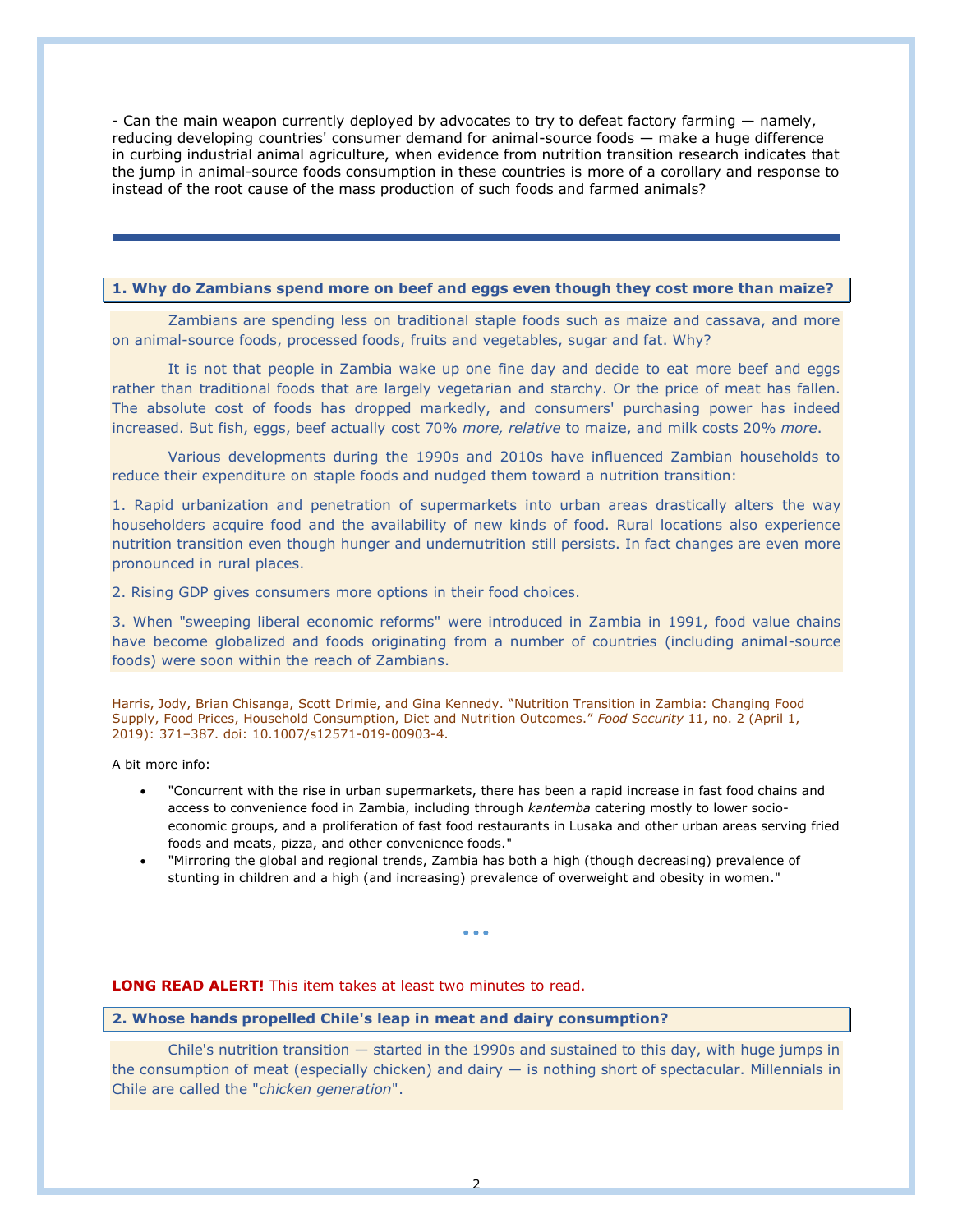- Can the main weapon currently deployed by advocates to try to defeat factory farming — namely, reducing developing countries' consumer demand for animal-source foods — make a huge difference in curbing industrial animal agriculture, when evidence from nutrition transition research indicates that the jump in animal-source foods consumption in these countries is more of a corollary and response to instead of the root cause of the mass production of such foods and farmed animals?

### **1. Why do Zambians spend more on beef and eggs even though they cost more than maize?**

Zambians are spending less on traditional staple foods such as maize and cassava, and more on animal-source foods, processed foods, fruits and vegetables, sugar and fat. Why?

It is not that people in Zambia wake up one fine day and decide to eat more beef and eggs rather than traditional foods that are largely vegetarian and starchy. Or the price of meat has fallen. The absolute cost of foods has dropped markedly, and consumers' purchasing power has indeed increased. But fish, eggs, beef actually cost 70% *more, relative* to maize, and milk costs 20% *more*.

Various developments during the 1990s and 2010s have influenced Zambian households to reduce their expenditure on staple foods and nudged them toward a nutrition transition:

1. Rapid urbanization and penetration of supermarkets into urban areas drastically alters the way householders acquire food and the availability of new kinds of food. Rural locations also experience nutrition transition even though hunger and undernutrition still persists. In fact changes are even more pronounced in rural places.

2. Rising GDP gives consumers more options in their food choices.

3. When "sweeping liberal economic reforms" were introduced in Zambia in 1991, food value chains have become globalized and foods originating from a number of countries (including animal-source foods) were soon within the reach of Zambians.

Harris, Jody, Brian Chisanga, Scott Drimie, and Gina Kennedy. "Nutrition Transition in Zambia: Changing Food Supply, Food Prices, Household Consumption, Diet and Nutrition Outcomes." *Food Security* 11, no. 2 (April 1, 2019): 371–387. doi: 10.1007/s12571-019-00903-4.

A bit more info:

- "Concurrent with the rise in urban supermarkets, there has been a rapid increase in fast food chains and access to convenience food in Zambia, including through *kantemba* catering mostly to lower socioeconomic groups, and a proliferation of fast food restaurants in Lusaka and other urban areas serving fried foods and meats, pizza, and other convenience foods."
- "Mirroring the global and regional trends, Zambia has both a high (though decreasing) prevalence of stunting in children and a high (and increasing) prevalence of overweight and obesity in women."

• • •

# **LONG READ ALERT!** This item takes at least two minutes to read.

## **2. Whose hands propelled Chile's leap in meat and dairy consumption?**

Chile's nutrition transition  $-$  started in the 1990s and sustained to this day, with huge jumps in the consumption of meat (especially chicken) and dairy  $-$  is nothing short of spectacular. Millennials in Chile are called the "*chicken generation*".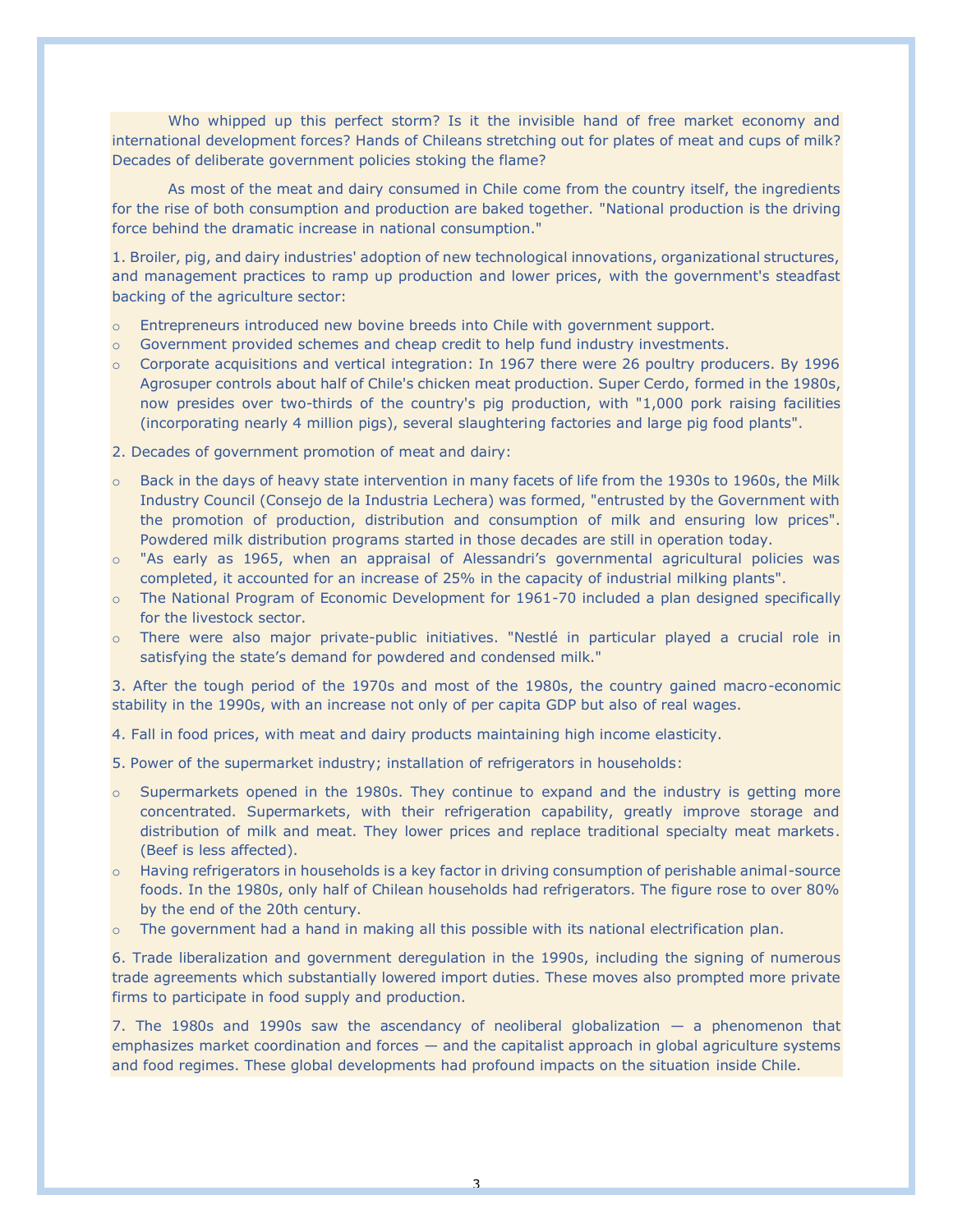Who whipped up this perfect storm? Is it the invisible hand of free market economy and international development forces? Hands of Chileans stretching out for plates of meat and cups of milk? Decades of deliberate government policies stoking the flame?

As most of the meat and dairy consumed in Chile come from the country itself, the ingredients for the rise of both consumption and production are baked together. "National production is the driving force behind the dramatic increase in national consumption."

1. Broiler, pig, and dairy industries' adoption of new technological innovations, organizational structures, and management practices to ramp up production and lower prices, with the government's steadfast backing of the agriculture sector:

- o Entrepreneurs introduced new bovine breeds into Chile with government support.
- $\circ$  Government provided schemes and cheap credit to help fund industry investments.
- o Corporate acquisitions and vertical integration: In 1967 there were 26 poultry producers. By 1996 Agrosuper controls about half of Chile's chicken meat production. Super Cerdo, formed in the 1980s, now presides over two-thirds of the country's pig production, with "1,000 pork raising facilities (incorporating nearly 4 million pigs), several slaughtering factories and large pig food plants".
- 2. Decades of government promotion of meat and dairy:
- o Back in the days of heavy state intervention in many facets of life from the 1930s to 1960s, the Milk Industry Council (Consejo de la Industria Lechera) was formed, "entrusted by the Government with the promotion of production, distribution and consumption of milk and ensuring low prices". Powdered milk distribution programs started in those decades are still in operation today.
- o "As early as 1965, when an appraisal of Alessandri's governmental agricultural policies was completed, it accounted for an increase of 25% in the capacity of industrial milking plants".
- o The National Program of Economic Development for 1961-70 included a plan designed specifically for the livestock sector.
- o There were also major private-public initiatives. "Nestlé in particular played a crucial role in satisfying the state's demand for powdered and condensed milk."

3. After the tough period of the 1970s and most of the 1980s, the country gained macro-economic stability in the 1990s, with an increase not only of per capita GDP but also of real wages.

4. Fall in food prices, with meat and dairy products maintaining high income elasticity.

- 5. Power of the supermarket industry; installation of refrigerators in households:
- $\circ$  Supermarkets opened in the 1980s. They continue to expand and the industry is getting more concentrated. Supermarkets, with their refrigeration capability, greatly improve storage and distribution of milk and meat. They lower prices and replace traditional specialty meat markets. (Beef is less affected).
- $\circ$  Having refrigerators in households is a key factor in driving consumption of perishable animal-source foods. In the 1980s, only half of Chilean households had refrigerators. The figure rose to over 80% by the end of the 20th century.
- $\circ$  The government had a hand in making all this possible with its national electrification plan.

6. Trade liberalization and government deregulation in the 1990s, including the signing of numerous trade agreements which substantially lowered import duties. These moves also prompted more private firms to participate in food supply and production.

7. The 1980s and 1990s saw the ascendancy of neoliberal globalization  $-$  a phenomenon that emphasizes market coordination and forces — and the capitalist approach in global agriculture systems and food regimes. These global developments had profound impacts on the situation inside Chile.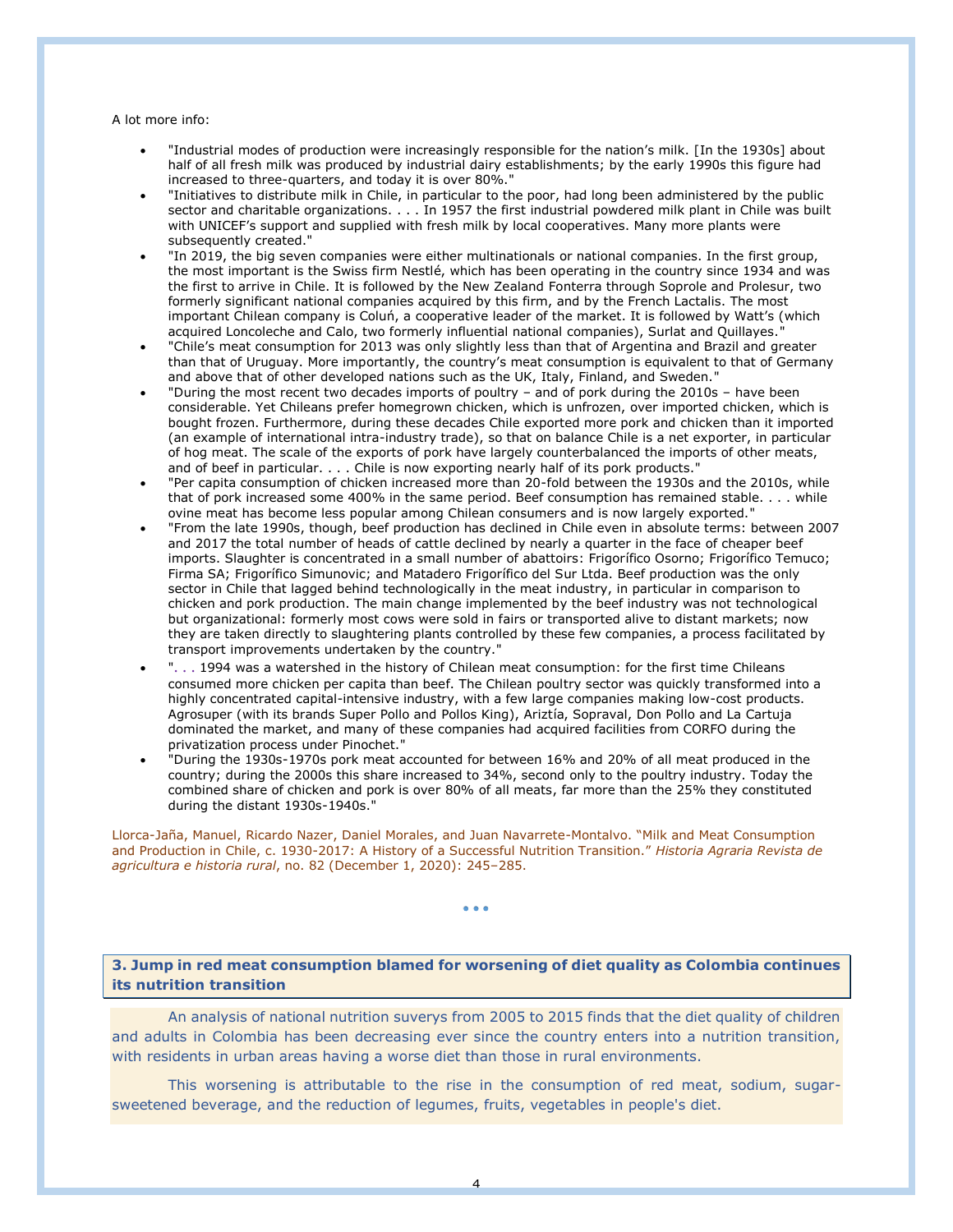A lot more info:

- "Industrial modes of production were increasingly responsible for the nation's milk. [In the 1930s] about half of all fresh milk was produced by industrial dairy establishments; by the early 1990s this figure had increased to three-quarters, and today it is over 80%.
- "Initiatives to distribute milk in Chile, in particular to the poor, had long been administered by the public sector and charitable organizations. . . . In 1957 the first industrial powdered milk plant in Chile was built with UNICEF's support and supplied with fresh milk by local cooperatives. Many more plants were subsequently created."
- "In 2019, the big seven companies were either multinationals or national companies. In the first group, the most important is the Swiss firm Nestlé, which has been operating in the country since 1934 and was the first to arrive in Chile. It is followed by the New Zealand Fonterra through Soprole and Prolesur, two formerly significant national companies acquired by this firm, and by the French Lactalis. The most important Chilean company is Coluń, a cooperative leader of the market. It is followed by Watt's (which acquired Loncoleche and Calo, two formerly influential national companies), Surlat and Quillayes."
- "Chile's meat consumption for 2013 was only slightly less than that of Argentina and Brazil and greater than that of Uruguay. More importantly, the country's meat consumption is equivalent to that of Germany and above that of other developed nations such as the UK, Italy, Finland, and Sweden."
- "During the most recent two decades imports of poultry and of pork during the 2010s have been considerable. Yet Chileans prefer homegrown chicken, which is unfrozen, over imported chicken, which is bought frozen. Furthermore, during these decades Chile exported more pork and chicken than it imported (an example of international intra-industry trade), so that on balance Chile is a net exporter, in particular of hog meat. The scale of the exports of pork have largely counterbalanced the imports of other meats, and of beef in particular. . . . Chile is now exporting nearly half of its pork products."
- "Per capita consumption of chicken increased more than 20-fold between the 1930s and the 2010s, while that of pork increased some 400% in the same period. Beef consumption has remained stable. . . . while ovine meat has become less popular among Chilean consumers and is now largely exported."
- "From the late 1990s, though, beef production has declined in Chile even in absolute terms: between 2007 and 2017 the total number of heads of cattle declined by nearly a quarter in the face of cheaper beef imports. Slaughter is concentrated in a small number of abattoirs: Frigorífico Osorno; Frigorífico Temuco; Firma SA; Frigorífico Simunovic; and Matadero Frigorífico del Sur Ltda. Beef production was the only sector in Chile that lagged behind technologically in the meat industry, in particular in comparison to chicken and pork production. The main change implemented by the beef industry was not technological but organizational: formerly most cows were sold in fairs or transported alive to distant markets; now they are taken directly to slaughtering plants controlled by these few companies, a process facilitated by transport improvements undertaken by the country."
- ". . . 1994 was a watershed in the history of Chilean meat consumption: for the first time Chileans consumed more chicken per capita than beef. The Chilean poultry sector was quickly transformed into a highly concentrated capital-intensive industry, with a few large companies making low-cost products. Agrosuper (with its brands Super Pollo and Pollos King), Ariztía, Sopraval, Don Pollo and La Cartuja dominated the market, and many of these companies had acquired facilities from CORFO during the privatization process under Pinochet."
- "During the 1930s-1970s pork meat accounted for between 16% and 20% of all meat produced in the country; during the 2000s this share increased to 34%, second only to the poultry industry. Today the combined share of chicken and pork is over 80% of all meats, far more than the 25% they constituted during the distant 1930s-1940s."

Llorca-Jaña, Manuel, Ricardo Nazer, Daniel Morales, and Juan Navarrete-Montalvo. "Milk and Meat Consumption and Production in Chile, c. 1930-2017: A History of a Successful Nutrition Transition." *Historia Agraria Revista de agricultura e historia rural*, no. 82 (December 1, 2020): 245–285.

• • •

**3. Jump in red meat consumption blamed for worsening of diet quality as Colombia continues its nutrition transition**

An analysis of national nutrition suverys from 2005 to 2015 finds that the diet quality of children and adults in Colombia has been decreasing ever since the country enters into a nutrition transition, with residents in urban areas having a worse diet than those in rural environments.

This worsening is attributable to the rise in the consumption of red meat, sodium, sugarsweetened beverage, and the reduction of legumes, fruits, vegetables in people's diet.

4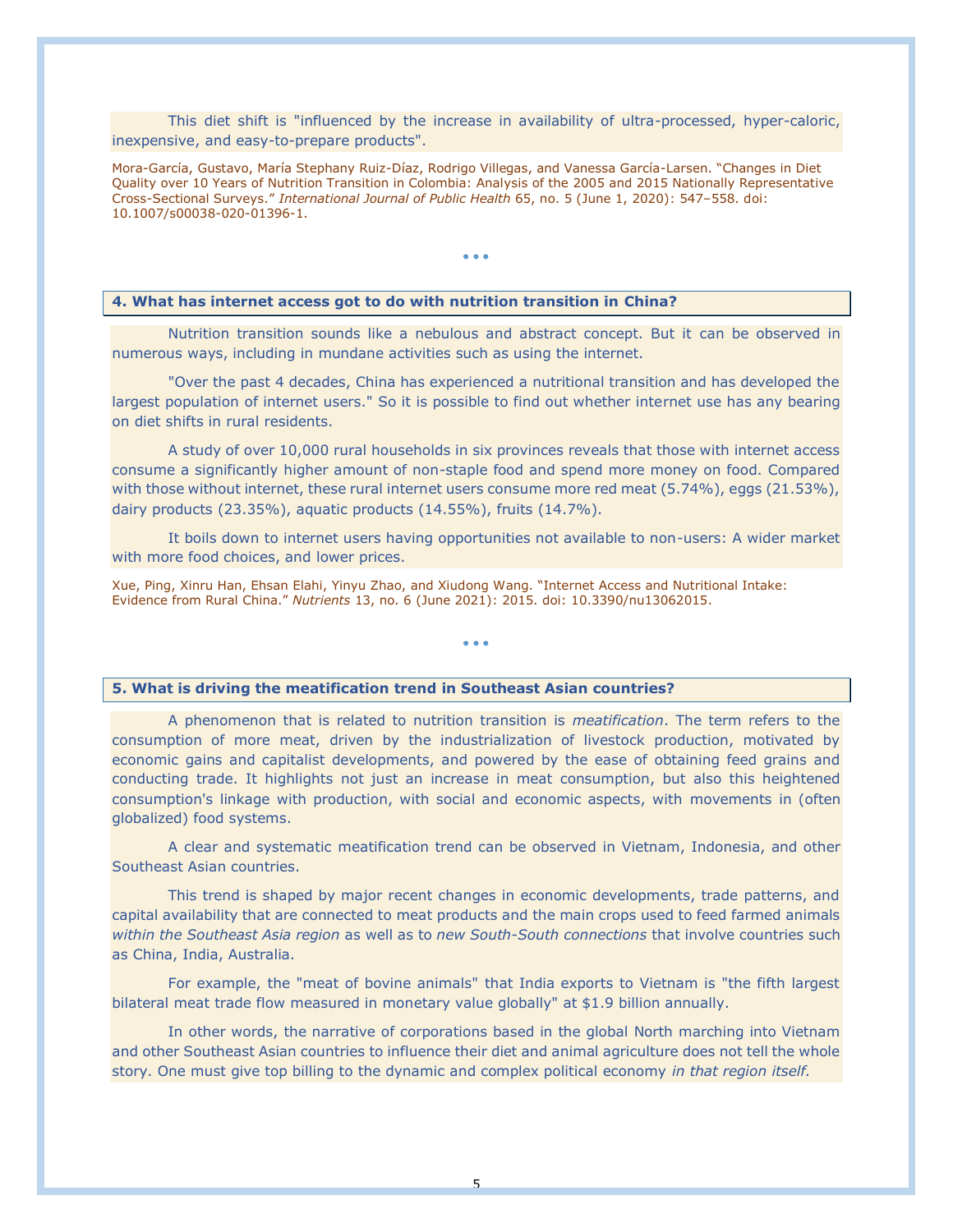This diet shift is "influenced by the increase in availability of ultra-processed, hyper-caloric, inexpensive, and easy-to-prepare products".

Mora-García, Gustavo, María Stephany Ruiz-Díaz, Rodrigo Villegas, and Vanessa García-Larsen. "Changes in Diet Quality over 10 Years of Nutrition Transition in Colombia: Analysis of the 2005 and 2015 Nationally Representative Cross-Sectional Surveys." *International Journal of Public Health* 65, no. 5 (June 1, 2020): 547–558. doi: 10.1007/s00038-020-01396-1.

• • •

### **4. What has internet access got to do with nutrition transition in China?**

Nutrition transition sounds like a nebulous and abstract concept. But it can be observed in numerous ways, including in mundane activities such as using the internet.

"Over the past 4 decades, China has experienced a nutritional transition and has developed the largest population of internet users." So it is possible to find out whether internet use has any bearing on diet shifts in rural residents.

A study of over 10,000 rural households in six provinces reveals that those with internet access consume a significantly higher amount of non-staple food and spend more money on food. Compared with those without internet, these rural internet users consume more red meat (5.74%), eggs (21.53%), dairy products (23.35%), aquatic products (14.55%), fruits (14.7%).

It boils down to internet users having opportunities not available to non-users: A wider market with more food choices, and lower prices.

• • •

Xue, Ping, Xinru Han, Ehsan Elahi, Yinyu Zhao, and Xiudong Wang. "Internet Access and Nutritional Intake: Evidence from Rural China." *Nutrients* 13, no. 6 (June 2021): 2015. doi: 10.3390/nu13062015.

#### **5. What is driving the meatification trend in Southeast Asian countries?**

A phenomenon that is related to nutrition transition is *meatification*. The term refers to the consumption of more meat, driven by the industrialization of livestock production, motivated by economic gains and capitalist developments, and powered by the ease of obtaining feed grains and conducting trade. It highlights not just an increase in meat consumption, but also this heightened consumption's linkage with production, with social and economic aspects, with movements in (often globalized) food systems.

A clear and systematic meatification trend can be observed in Vietnam, Indonesia, and other Southeast Asian countries.

This trend is shaped by major recent changes in economic developments, trade patterns, and capital availability that are connected to meat products and the main crops used to feed farmed animals *within the Southeast Asia region* as well as to *new South-South connections* that involve countries such as China, India, Australia.

For example, the "meat of bovine animals" that India exports to Vietnam is "the fifth largest bilateral meat trade flow measured in monetary value globally" at \$1.9 billion annually.

In other words, the narrative of corporations based in the global North marching into Vietnam and other Southeast Asian countries to influence their diet and animal agriculture does not tell the whole story. One must give top billing to the dynamic and complex political economy *in that region itself.*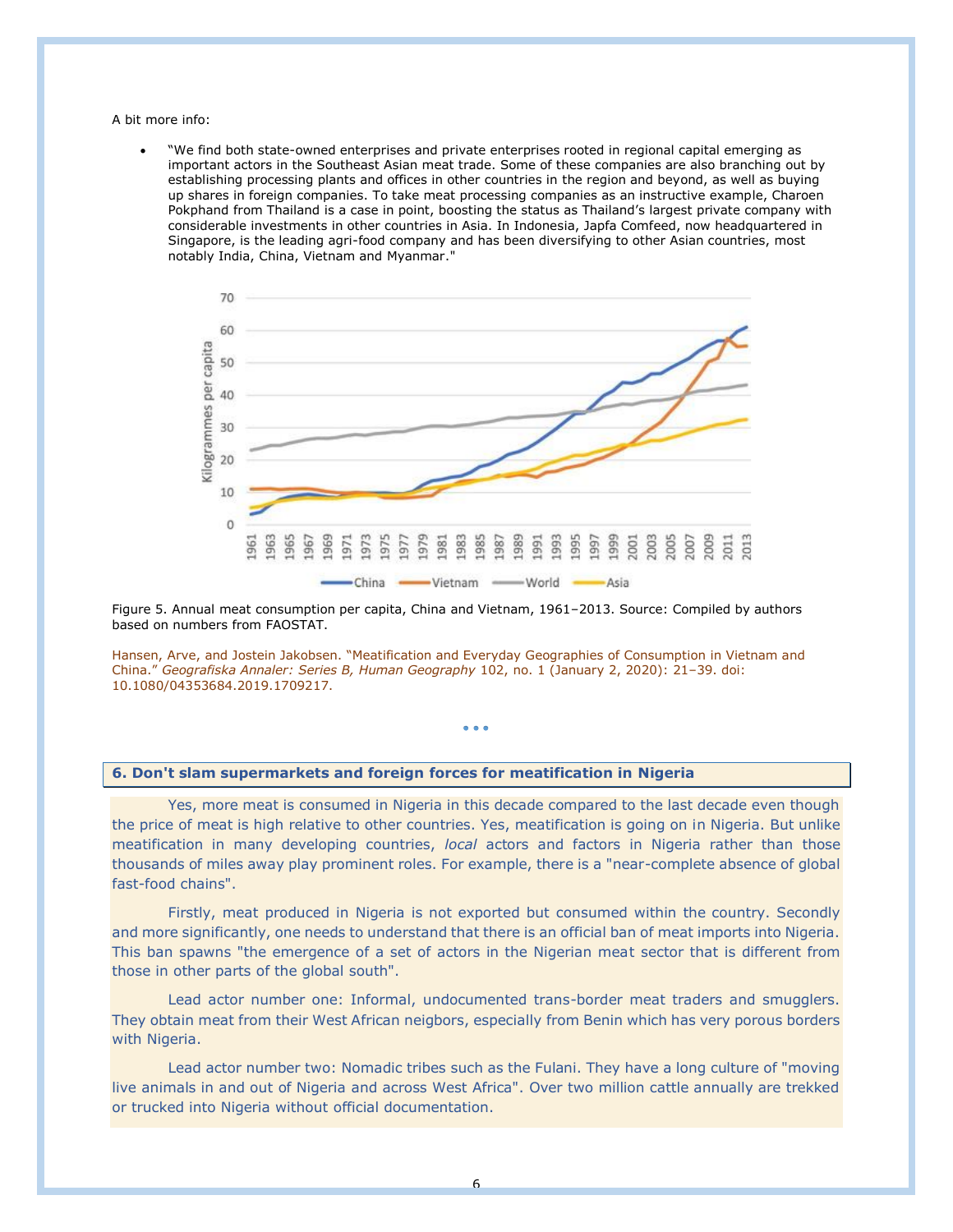A bit more info:

• "We find both state-owned enterprises and private enterprises rooted in regional capital emerging as important actors in the Southeast Asian meat trade. Some of these companies are also branching out by establishing processing plants and offices in other countries in the region and beyond, as well as buying up shares in foreign companies. To take meat processing companies as an instructive example, Charoen Pokphand from Thailand is a case in point, boosting the status as Thailand's largest private company with considerable investments in other countries in Asia. In Indonesia, Japfa Comfeed, now headquartered in Singapore, is the leading agri-food company and has been diversifying to other Asian countries, most notably India, China, Vietnam and Myanmar."



Figure 5. Annual meat consumption per capita, China and Vietnam, 1961–2013. Source: Compiled by authors based on numbers from FAOSTAT.

Hansen, Arve, and Jostein Jakobsen. "Meatification and Everyday Geographies of Consumption in Vietnam and China." *Geografiska Annaler: Series B, Human Geography* 102, no. 1 (January 2, 2020): 21–39. doi: 10.1080/04353684.2019.1709217.

• • •

# **6. Don't slam supermarkets and foreign forces for meatification in Nigeria**

Yes, more meat is consumed in Nigeria in this decade compared to the last decade even though the price of meat is high relative to other countries. Yes, meatification is going on in Nigeria. But unlike meatification in many developing countries, *local* actors and factors in Nigeria rather than those thousands of miles away play prominent roles. For example, there is a "near-complete absence of global fast-food chains".

Firstly, meat produced in Nigeria is not exported but consumed within the country. Secondly and more significantly, one needs to understand that there is an official ban of meat imports into Nigeria. This ban spawns "the emergence of a set of actors in the Nigerian meat sector that is different from those in other parts of the global south".

Lead actor number one: Informal, undocumented trans-border meat traders and smugglers. They obtain meat from their West African neigbors, especially from Benin which has very porous borders with Nigeria.

Lead actor number two: Nomadic tribes such as the Fulani. They have a long culture of "moving live animals in and out of Nigeria and across West Africa". Over two million cattle annually are trekked or trucked into Nigeria without official documentation.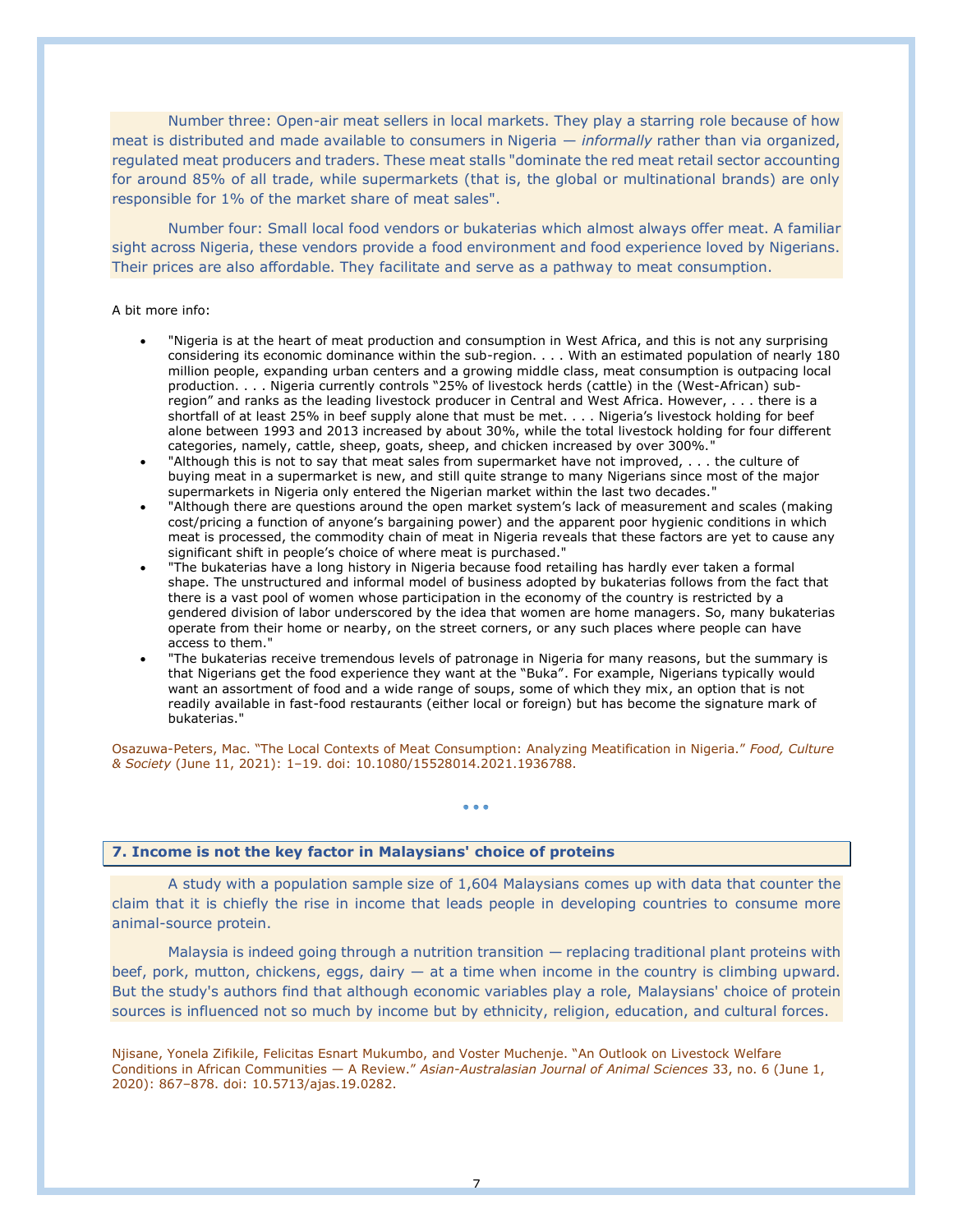Number three: Open-air meat sellers in local markets. They play a starring role because of how meat is distributed and made available to consumers in Nigeria — *informally* rather than via organized, regulated meat producers and traders. These meat stalls "dominate the red meat retail sector accounting for around 85% of all trade, while supermarkets (that is, the global or multinational brands) are only responsible for 1% of the market share of meat sales".

Number four: Small local food vendors or bukaterias which almost always offer meat. A familiar sight across Nigeria, these vendors provide a food environment and food experience loved by Nigerians. Their prices are also affordable. They facilitate and serve as a pathway to meat consumption.

#### A bit more info:

- "Nigeria is at the heart of meat production and consumption in West Africa, and this is not any surprising considering its economic dominance within the sub-region. . . . With an estimated population of nearly 180 million people, expanding urban centers and a growing middle class, meat consumption is outpacing local production. . . . Nigeria currently controls "25% of livestock herds (cattle) in the (West-African) subregion" and ranks as the leading livestock producer in Central and West Africa. However, . . . there is a shortfall of at least 25% in beef supply alone that must be met. . . . Nigeria's livestock holding for beef alone between 1993 and 2013 increased by about 30%, while the total livestock holding for four different categories, namely, cattle, sheep, goats, sheep, and chicken increased by over 300%."
- "Although this is not to say that meat sales from supermarket have not improved, . . . the culture of buying meat in a supermarket is new, and still quite strange to many Nigerians since most of the major supermarkets in Nigeria only entered the Nigerian market within the last two decades."
- "Although there are questions around the open market system's lack of measurement and scales (making cost/pricing a function of anyone's bargaining power) and the apparent poor hygienic conditions in which meat is processed, the commodity chain of meat in Nigeria reveals that these factors are yet to cause any significant shift in people's choice of where meat is purchased."
- "The bukaterias have a long history in Nigeria because food retailing has hardly ever taken a formal shape. The unstructured and informal model of business adopted by bukaterias follows from the fact that there is a vast pool of women whose participation in the economy of the country is restricted by a gendered division of labor underscored by the idea that women are home managers. So, many bukaterias operate from their home or nearby, on the street corners, or any such places where people can have access to them."
- "The bukaterias receive tremendous levels of patronage in Nigeria for many reasons, but the summary is that Nigerians get the food experience they want at the "Buka". For example, Nigerians typically would want an assortment of food and a wide range of soups, some of which they mix, an option that is not readily available in fast-food restaurants (either local or foreign) but has become the signature mark of bukaterias."

Osazuwa-Peters, Mac. "The Local Contexts of Meat Consumption: Analyzing Meatification in Nigeria." *Food, Culture & Society* (June 11, 2021): 1–19. doi: 10.1080/15528014.2021.1936788.

• • •

### **7. Income is not the key factor in Malaysians' choice of proteins**

A study with a population sample size of 1,604 Malaysians comes up with data that counter the claim that it is chiefly the rise in income that leads people in developing countries to consume more animal-source protein.

Malaysia is indeed going through a nutrition transition — replacing traditional plant proteins with beef, pork, mutton, chickens, eggs, dairy — at a time when income in the country is climbing upward. But the study's authors find that although economic variables play a role, Malaysians' choice of protein sources is influenced not so much by income but by ethnicity, religion, education, and cultural forces.

Njisane, Yonela Zifikile, Felicitas Esnart Mukumbo, and Voster Muchenje. "An Outlook on Livestock Welfare Conditions in African Communities — A Review." *Asian-Australasian Journal of Animal Sciences* 33, no. 6 (June 1, 2020): 867–878. doi: 10.5713/ajas.19.0282.